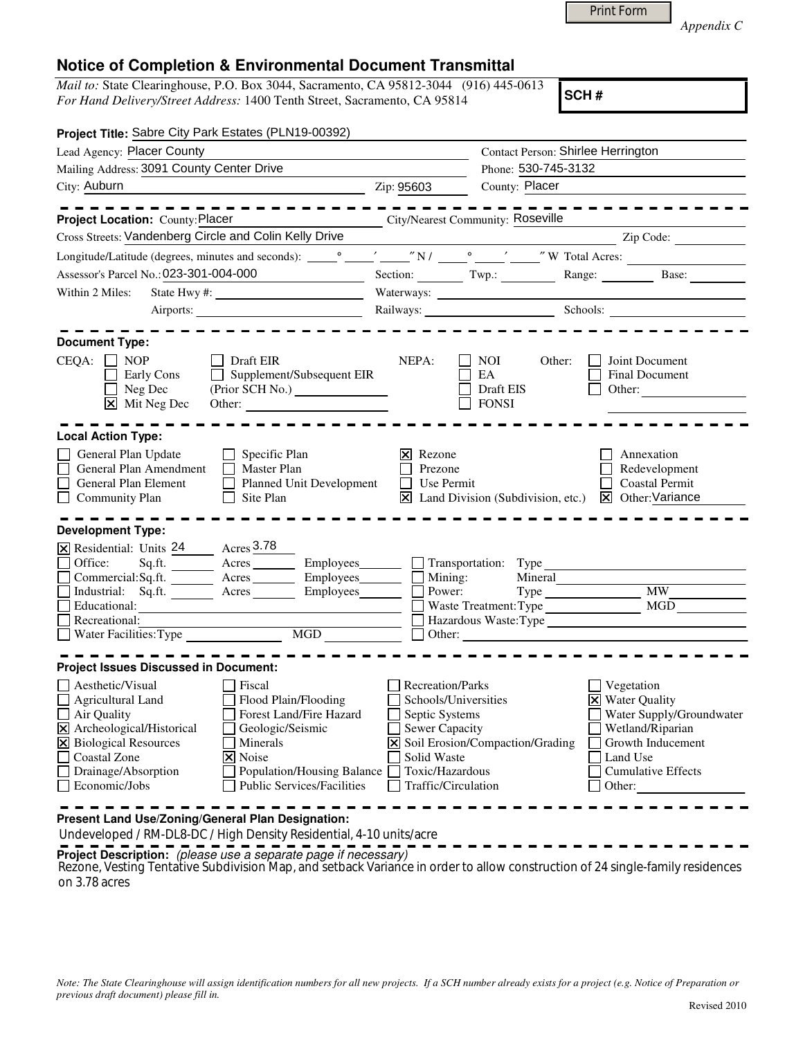| Appendix C |  |
|------------|--|

## **Notice of Completion & Environmental Document Transmittal**

*Mail to:* State Clearinghouse, P.O. Box 3044, Sacramento, CA 95812-3044 (916) 445-0613 *For Hand Delivery/Street Address:* 1400 Tenth Street, Sacramento, CA 95814

**SCH #**

Print Form

| Project Title: Sabre City Park Estates (PLN19-00392)                                                                                                                                                                                                                                                                                                                            |                                                                                                                                                                                   |                                        |                                               |                                                                                                                                                              |
|---------------------------------------------------------------------------------------------------------------------------------------------------------------------------------------------------------------------------------------------------------------------------------------------------------------------------------------------------------------------------------|-----------------------------------------------------------------------------------------------------------------------------------------------------------------------------------|----------------------------------------|-----------------------------------------------|--------------------------------------------------------------------------------------------------------------------------------------------------------------|
| Lead Agency: Placer County                                                                                                                                                                                                                                                                                                                                                      |                                                                                                                                                                                   | Contact Person: Shirlee Herrington     |                                               |                                                                                                                                                              |
| Mailing Address: 3091 County Center Drive                                                                                                                                                                                                                                                                                                                                       |                                                                                                                                                                                   | Phone: 530-745-3132                    |                                               |                                                                                                                                                              |
| City: Auburn<br><u> 1989 - Johann Stoff, amerikansk politiker (d. 1989)</u>                                                                                                                                                                                                                                                                                                     | Zip: 95603                                                                                                                                                                        | County: Placer                         |                                               |                                                                                                                                                              |
|                                                                                                                                                                                                                                                                                                                                                                                 |                                                                                                                                                                                   |                                        |                                               |                                                                                                                                                              |
| City/Nearest Community: Roseville<br>Project Location: County: Placer                                                                                                                                                                                                                                                                                                           |                                                                                                                                                                                   |                                        |                                               |                                                                                                                                                              |
|                                                                                                                                                                                                                                                                                                                                                                                 |                                                                                                                                                                                   |                                        |                                               |                                                                                                                                                              |
|                                                                                                                                                                                                                                                                                                                                                                                 |                                                                                                                                                                                   |                                        |                                               |                                                                                                                                                              |
| Assessor's Parcel No.: 023-301-004-000<br><u> 1980 - Johann Barbara, martin a</u>                                                                                                                                                                                                                                                                                               |                                                                                                                                                                                   |                                        |                                               | Section: Twp.: Range: Base:                                                                                                                                  |
| Within 2 Miles:                                                                                                                                                                                                                                                                                                                                                                 |                                                                                                                                                                                   |                                        |                                               |                                                                                                                                                              |
|                                                                                                                                                                                                                                                                                                                                                                                 |                                                                                                                                                                                   |                                        |                                               | Railways: Schools: Schools:                                                                                                                                  |
| <b>Document Type:</b><br>$CEQA: \Box NOP$<br>$\Box$ Draft EIR<br>$\Box$ Supplement/Subsequent EIR<br>Early Cons<br>$\overline{\Box}$ Neg Dec<br>$\boxtimes$ Mit Neg Dec<br>Other:                                                                                                                                                                                               | NEPA:                                                                                                                                                                             | NOI<br>EA<br>Draft EIS<br>$\Box$ FONSI | Other:                                        | Joint Document<br>Final Document<br>Other: $\qquad \qquad$                                                                                                   |
| <b>Local Action Type:</b>                                                                                                                                                                                                                                                                                                                                                       |                                                                                                                                                                                   |                                        |                                               |                                                                                                                                                              |
| $\Box$ Specific Plan<br>General Plan Update<br>General Plan Amendment<br>$\Box$ Master Plan<br>Planned Unit Development<br>General Plan Element<br>Community Plan<br>$\Box$<br>Site Plan                                                                                                                                                                                        | $\times$ Rezone<br>Prezone<br>$\Box$ Use Permit                                                                                                                                   |                                        | $\boxtimes$ Land Division (Subdivision, etc.) | Annexation<br>Redevelopment<br><b>Coastal Permit</b><br>$\overline{\mathsf{x}}$ Other: Variance                                                              |
| <b>Development Type:</b>                                                                                                                                                                                                                                                                                                                                                        |                                                                                                                                                                                   |                                        |                                               |                                                                                                                                                              |
| <b>EX</b> Residential: Units $\frac{24}{24}$ Acres 3.78<br>Sq.ft. ________ Acres ________ Employees_______ __ Transportation: Type ______<br>Office:<br>Commercial:Sq.ft. ________ Acres __________ Employees ________ $\Box$                                                                                                                                                   |                                                                                                                                                                                   |                                        |                                               |                                                                                                                                                              |
| Industrial: Sq.ft. Acres<br>Educational:<br><u> 1989 - Johann Barbara, martin amerikan basar dan berasal dalam basar dalam basar dalam basar dalam basar dala</u><br>Recreational:                                                                                                                                                                                              |                                                                                                                                                                                   |                                        |                                               | Hazardous Waste:Type                                                                                                                                         |
|                                                                                                                                                                                                                                                                                                                                                                                 |                                                                                                                                                                                   |                                        |                                               |                                                                                                                                                              |
|                                                                                                                                                                                                                                                                                                                                                                                 |                                                                                                                                                                                   |                                        |                                               |                                                                                                                                                              |
| <b>Project Issues Discussed in Document:</b>                                                                                                                                                                                                                                                                                                                                    |                                                                                                                                                                                   |                                        |                                               |                                                                                                                                                              |
| Aesthetic/Visual<br>Fiscal<br>Flood Plain/Flooding<br><b>Agricultural Land</b><br>Air Quality<br>Forest Land/Fire Hazard<br>Archeological/Historical<br>Geologic/Seismic<br>$\mathbf{\overline{X}}$<br>X Biological Resources<br>Minerals<br>Coastal Zone<br>X Noise<br>Drainage/Absorption<br>Population/Housing Balance<br><b>Public Services/Facilities</b><br>Economic/Jobs | Recreation/Parks<br>Schools/Universities<br>$\Box$ Septic Systems<br>Sewer Capacity<br>X Soil Erosion/Compaction/Grading<br>Solid Waste<br>Toxic/Hazardous<br>Traffic/Circulation |                                        |                                               | Vegetation<br><b>X</b> Water Quality<br>Water Supply/Groundwater<br>Wetland/Riparian<br>Growth Inducement<br>Land Use<br><b>Cumulative Effects</b><br>Other: |

**Present Land Use/Zoning/General Plan Designation:**

Undeveloped / RM-DL8-DC / High Density Residential, 4-10 units/acre

**Project Description:** (please use a separate page if necessary)

Rezone, Vesting Tentative Subdivision Map, and setback Variance in order to allow construction of 24 single-family residences<br>- 23 Second 20 on 3.78 acres